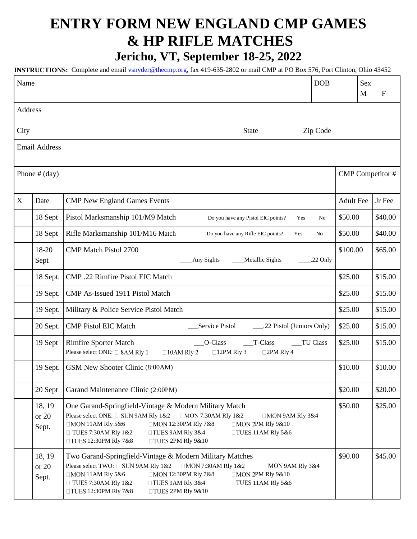## **ENTRY FORM NEW ENGLAND CMP GAMES & HP RIFLE MATCHES**

**Jericho, VT, September 18-25, 2022**

**INSTRUCTIONS:** Complete and email *ysnyder@thecmp.org*, fax 419-635-2802 or mail CMP at PO Box 576, Port Clinton, Ohio 43452

| Name                 |                          |                                                                                                                                                                                                                                                                                                                                                             | <b>DOB</b>       |                  | Sex<br>M | $\mathbf{F}$ |  |
|----------------------|--------------------------|-------------------------------------------------------------------------------------------------------------------------------------------------------------------------------------------------------------------------------------------------------------------------------------------------------------------------------------------------------------|------------------|------------------|----------|--------------|--|
| Address              |                          |                                                                                                                                                                                                                                                                                                                                                             |                  |                  |          |              |  |
| City                 |                          | <b>State</b>                                                                                                                                                                                                                                                                                                                                                | Zip Code         |                  |          |              |  |
| <b>Email Address</b> |                          |                                                                                                                                                                                                                                                                                                                                                             |                  |                  |          |              |  |
| Phone $#$ (day)      |                          |                                                                                                                                                                                                                                                                                                                                                             | CMP Competitor # |                  |          |              |  |
| X                    | Date                     | <b>CMP New England Games Events</b>                                                                                                                                                                                                                                                                                                                         |                  | <b>Adult Fee</b> |          | Jr Fee       |  |
|                      | 18 Sept                  | Pistol Marksmanship 101/M9 Match<br>Do you have any Pistol EIC points? ___ Yes __ No                                                                                                                                                                                                                                                                        |                  | \$50.00          |          | \$40.00      |  |
|                      | 18 Sept                  | Rifle Marksmanship 101/M16 Match<br>Do you have any Rifle EIC points? ___ Yes ___ No                                                                                                                                                                                                                                                                        |                  | \$50.00          |          | \$40.00      |  |
|                      | 18-20<br>Sept            | <b>CMP Match Pistol 2700</b><br>Any Sights<br>Metallic Sights                                                                                                                                                                                                                                                                                               | $.22$ Only       | \$100.00         |          | \$65.00      |  |
|                      | 18 Sept.                 | CMP .22 Rimfire Pistol EIC Match                                                                                                                                                                                                                                                                                                                            |                  | \$25.00          |          | \$15.00      |  |
|                      | 19 Sept.                 | CMP As-Issued 1911 Pistol Match                                                                                                                                                                                                                                                                                                                             |                  | \$25.00          |          | \$15.00      |  |
|                      | 19 Sept.                 | Military & Police Service Pistol Match                                                                                                                                                                                                                                                                                                                      |                  | \$25.00          |          | \$15.00      |  |
|                      | 20 Sept.                 | <b>CMP Pistol EIC Match</b><br>Service Pistol                                                                                                                                                                                                                                                                                                               |                  | \$25.00          |          | \$15.00      |  |
|                      | 19 Sept                  | O-Class<br><b>Rimfire Sporter Match</b><br>T-Class<br>__TU Class<br>Please select ONE: □ 8AM Rly 1<br>$\Box$ 10AM RIy 2<br>$\Box$ 12PM Rly 3<br>$\Box$ 2PM Rly 4                                                                                                                                                                                            |                  | \$25.00          |          | \$15.00      |  |
|                      | 19 Sept.                 | GSM New Shooter Clinic (8:00AM)                                                                                                                                                                                                                                                                                                                             |                  | \$10.00          |          | \$10.00      |  |
|                      | 20 Sept                  | Garand Maintenance Clinic (2:00PM)                                                                                                                                                                                                                                                                                                                          |                  | \$20.00          |          | \$20.00      |  |
|                      | 18, 19<br>or 20<br>Sept. | One Garand-Springfield-Vintage & Modern Military Match<br>Please select ONE: □ SUN 9AM Rly 1&2<br>□MON 7:30AM Rly 1&2<br>$\Box$ MON 9AM Rly 3&4<br>$\Box$ MON 11AM Rly 5&6<br>□MON 12:30PM Rly 7&8<br>□MON 2PM Rly 9&10<br>$\Box$ TUES 7:30AM Rly 1&2<br>$\Box$ TUES 9AM RIy 3&4<br>$\Box$ TUES 11AM RIy 5&6<br>□TUES 12:30PM Rly 7&8<br>□TUES 2PM Rly 9&10 |                  | \$50.00          |          | \$25.00      |  |
|                      | 18, 19<br>or 20<br>Sept. | Two Garand-Springfield-Vintage & Modern Military Matches<br>Please select TWO: □ SUN 9AM Rly 1&2<br>□MON 7:30AM Rly 1&2<br>$\Box$ MON 9AM RIy 3&4<br>$\Box$ MON 11AM Rly 5&6<br>□MON 12:30PM Rly 7&8<br>□MON 2PM Rly 9&10<br>$\Box$ TUES 9AM RIy 3&4<br>□ TUES 7:30AM Rly 1&2<br>$\Box$ TUES 11AM RIy 5&6<br>□TUES 12:30PM Rly 7&8<br>□TUES 2PM Rly 9&10    |                  | \$90.00          |          | \$45.00      |  |